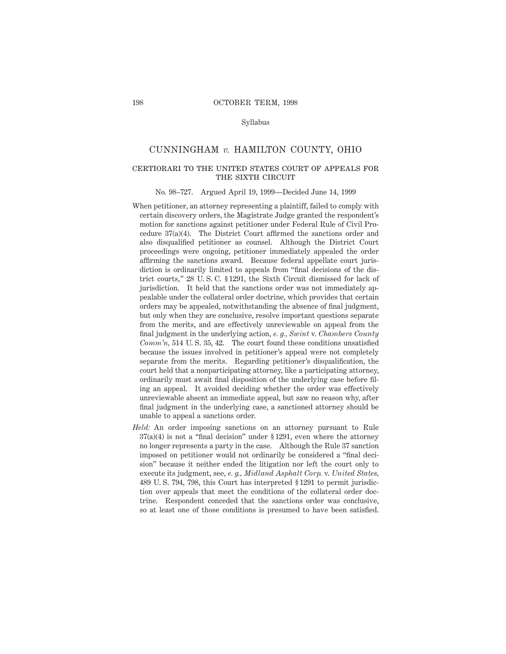### Syllabus

## CUNNINGHAM *v.* HAMILTON COUNTY, OHIO

# certiorari to the united states court of appeals for THE SIXTH CIRCUIT

#### No. 98–727. Argued April 19, 1999—Decided June 14, 1999

- When petitioner, an attorney representing a plaintiff, failed to comply with certain discovery orders, the Magistrate Judge granted the respondent's motion for sanctions against petitioner under Federal Rule of Civil Procedure 37(a)(4). The District Court affirmed the sanctions order and also disqualified petitioner as counsel. Although the District Court proceedings were ongoing, petitioner immediately appealed the order affirming the sanctions award. Because federal appellate court jurisdiction is ordinarily limited to appeals from "final decisions of the district courts," 28 U. S. C. § 1291, the Sixth Circuit dismissed for lack of jurisdiction. It held that the sanctions order was not immediately appealable under the collateral order doctrine, which provides that certain orders may be appealed, notwithstanding the absence of final judgment, but only when they are conclusive, resolve important questions separate from the merits, and are effectively unreviewable on appeal from the final judgment in the underlying action, *e. g., Swint* v. *Chambers County Comm'n,* 514 U. S. 35, 42. The court found these conditions unsatisfied because the issues involved in petitioner's appeal were not completely separate from the merits. Regarding petitioner's disqualification, the court held that a nonparticipating attorney, like a participating attorney, ordinarily must await final disposition of the underlying case before filing an appeal. It avoided deciding whether the order was effectively unreviewable absent an immediate appeal, but saw no reason why, after final judgment in the underlying case, a sanctioned attorney should be unable to appeal a sanctions order.
- *Held:* An order imposing sanctions on an attorney pursuant to Rule  $37(a)(4)$  is not a "final decision" under § 1291, even where the attorney no longer represents a party in the case. Although the Rule 37 sanction imposed on petitioner would not ordinarily be considered a "final decision" because it neither ended the litigation nor left the court only to execute its judgment, see, *e. g., Midland Asphalt Corp.* v. *United States,* 489 U. S. 794, 798, this Court has interpreted § 1291 to permit jurisdiction over appeals that meet the conditions of the collateral order doctrine. Respondent conceded that the sanctions order was conclusive, so at least one of those conditions is presumed to have been satisfied.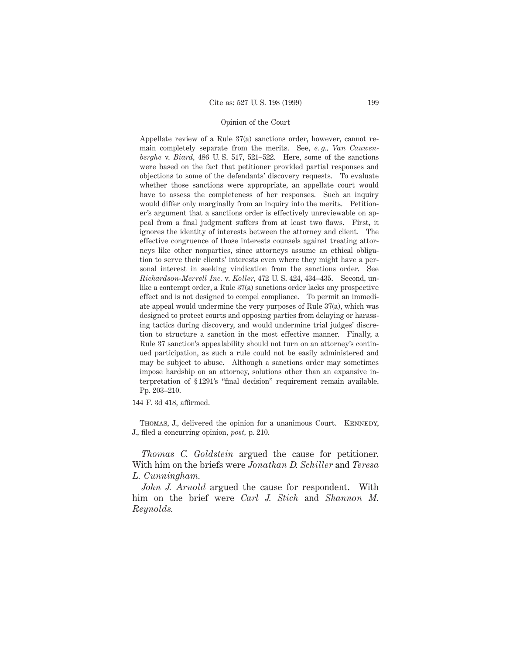Appellate review of a Rule 37(a) sanctions order, however, cannot remain completely separate from the merits. See, *e. g., Van Cauwenberghe* v. *Biard,* 486 U. S. 517, 521–522. Here, some of the sanctions were based on the fact that petitioner provided partial responses and objections to some of the defendants' discovery requests. To evaluate whether those sanctions were appropriate, an appellate court would have to assess the completeness of her responses. Such an inquiry would differ only marginally from an inquiry into the merits. Petitioner's argument that a sanctions order is effectively unreviewable on appeal from a final judgment suffers from at least two flaws. First, it ignores the identity of interests between the attorney and client. The effective congruence of those interests counsels against treating attorneys like other nonparties, since attorneys assume an ethical obligation to serve their clients' interests even where they might have a personal interest in seeking vindication from the sanctions order. See *Richardson-Merrell Inc.* v. *Koller,* 472 U. S. 424, 434–435. Second, unlike a contempt order, a Rule 37(a) sanctions order lacks any prospective effect and is not designed to compel compliance. To permit an immediate appeal would undermine the very purposes of Rule 37(a), which was designed to protect courts and opposing parties from delaying or harassing tactics during discovery, and would undermine trial judges' discretion to structure a sanction in the most effective manner. Finally, a Rule 37 sanction's appealability should not turn on an attorney's continued participation, as such a rule could not be easily administered and may be subject to abuse. Although a sanctions order may sometimes impose hardship on an attorney, solutions other than an expansive interpretation of § 1291's "final decision" requirement remain available. Pp. 203–210.

144 F. 3d 418, affirmed.

THOMAS, J., delivered the opinion for a unanimous Court. KENNEDY, J., filed a concurring opinion, *post,* p. 210.

*Thomas C. Goldstein* argued the cause for petitioner. With him on the briefs were *Jonathan D. Schiller* and *Teresa L. Cunningham.*

*John J. Arnold* argued the cause for respondent. With him on the brief were *Carl J. Stich* and *Shannon M. Reynolds.*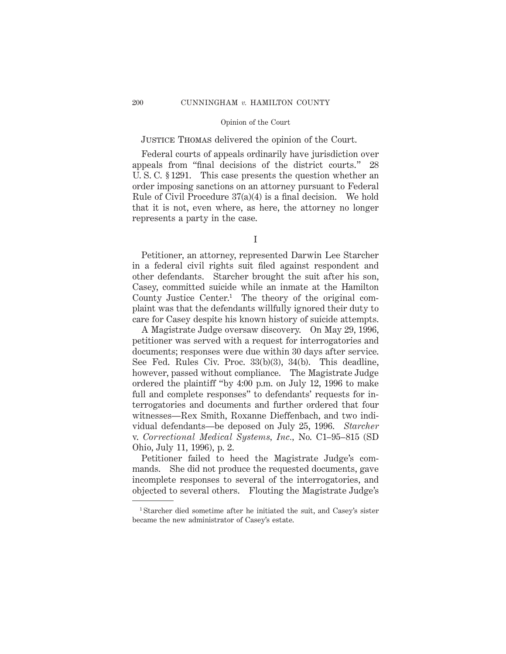# Justice Thomas delivered the opinion of the Court.

Federal courts of appeals ordinarily have jurisdiction over appeals from "final decisions of the district courts." 28 U. S. C. § 1291. This case presents the question whether an order imposing sanctions on an attorney pursuant to Federal Rule of Civil Procedure 37(a)(4) is a final decision. We hold that it is not, even where, as here, the attorney no longer represents a party in the case.

I

Petitioner, an attorney, represented Darwin Lee Starcher in a federal civil rights suit filed against respondent and other defendants. Starcher brought the suit after his son, Casey, committed suicide while an inmate at the Hamilton County Justice Center.1 The theory of the original complaint was that the defendants willfully ignored their duty to care for Casey despite his known history of suicide attempts.

A Magistrate Judge oversaw discovery. On May 29, 1996, petitioner was served with a request for interrogatories and documents; responses were due within 30 days after service. See Fed. Rules Civ. Proc. 33(b)(3), 34(b). This deadline, however, passed without compliance. The Magistrate Judge ordered the plaintiff "by 4:00 p.m. on July 12, 1996 to make full and complete responses" to defendants' requests for interrogatories and documents and further ordered that four witnesses—Rex Smith, Roxanne Dieffenbach, and two individual defendants—be deposed on July 25, 1996. *Starcher* v. *Correctional Medical Systems, Inc.,* No. C1–95–815 (SD Ohio, July 11, 1996), p. 2.

Petitioner failed to heed the Magistrate Judge's commands. She did not produce the requested documents, gave incomplete responses to several of the interrogatories, and objected to several others. Flouting the Magistrate Judge's

<sup>1</sup> Starcher died sometime after he initiated the suit, and Casey's sister became the new administrator of Casey's estate.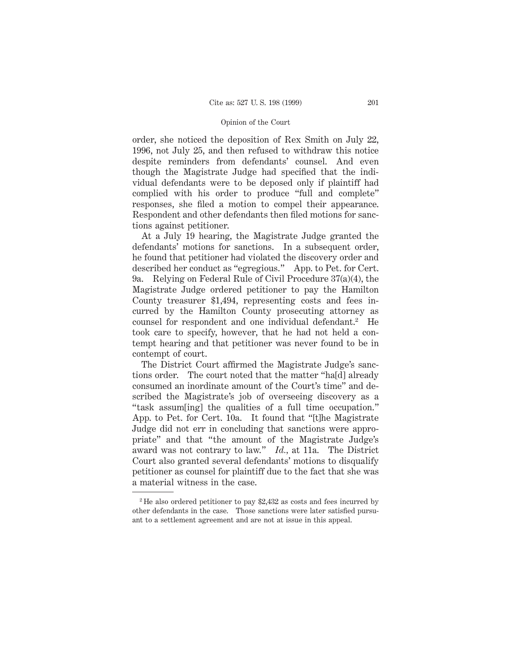order, she noticed the deposition of Rex Smith on July 22, 1996, not July 25, and then refused to withdraw this notice despite reminders from defendants' counsel. And even though the Magistrate Judge had specified that the individual defendants were to be deposed only if plaintiff had complied with his order to produce "full and complete" responses, she filed a motion to compel their appearance. Respondent and other defendants then filed motions for sanctions against petitioner.

At a July 19 hearing, the Magistrate Judge granted the defendants' motions for sanctions. In a subsequent order, he found that petitioner had violated the discovery order and described her conduct as "egregious." App. to Pet. for Cert. 9a. Relying on Federal Rule of Civil Procedure 37(a)(4), the Magistrate Judge ordered petitioner to pay the Hamilton County treasurer \$1,494, representing costs and fees incurred by the Hamilton County prosecuting attorney as counsel for respondent and one individual defendant.2 He took care to specify, however, that he had not held a contempt hearing and that petitioner was never found to be in contempt of court.

The District Court affirmed the Magistrate Judge's sanctions order. The court noted that the matter "ha[d] already consumed an inordinate amount of the Court's time" and described the Magistrate's job of overseeing discovery as a "task assum[ing] the qualities of a full time occupation." App. to Pet. for Cert. 10a. It found that "[t]he Magistrate Judge did not err in concluding that sanctions were appropriate" and that "the amount of the Magistrate Judge's award was not contrary to law." *Id.,* at 11a. The District Court also granted several defendants' motions to disqualify petitioner as counsel for plaintiff due to the fact that she was a material witness in the case.

<sup>2</sup> He also ordered petitioner to pay \$2,432 as costs and fees incurred by other defendants in the case. Those sanctions were later satisfied pursuant to a settlement agreement and are not at issue in this appeal.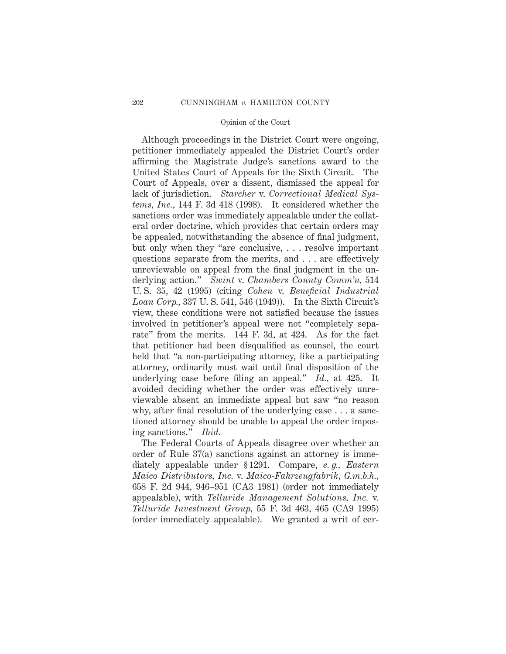Although proceedings in the District Court were ongoing, petitioner immediately appealed the District Court's order affirming the Magistrate Judge's sanctions award to the United States Court of Appeals for the Sixth Circuit. The Court of Appeals, over a dissent, dismissed the appeal for lack of jurisdiction. *Starcher* v. *Correctional Medical Systems, Inc.,* 144 F. 3d 418 (1998). It considered whether the sanctions order was immediately appealable under the collateral order doctrine, which provides that certain orders may be appealed, notwithstanding the absence of final judgment, but only when they "are conclusive, . . . resolve important questions separate from the merits, and . . . are effectively unreviewable on appeal from the final judgment in the underlying action." *Swint* v. *Chambers County Comm'n,* 514 U. S. 35, 42 (1995) (citing *Cohen* v. *Beneficial Industrial Loan Corp.,* 337 U. S. 541, 546 (1949)). In the Sixth Circuit's view, these conditions were not satisfied because the issues involved in petitioner's appeal were not "completely separate" from the merits. 144 F. 3d, at 424. As for the fact that petitioner had been disqualified as counsel, the court held that "a non-participating attorney, like a participating attorney, ordinarily must wait until final disposition of the underlying case before filing an appeal." *Id.,* at 425. It avoided deciding whether the order was effectively unreviewable absent an immediate appeal but saw "no reason why, after final resolution of the underlying case . . . a sanctioned attorney should be unable to appeal the order imposing sanctions." *Ibid.*

The Federal Courts of Appeals disagree over whether an order of Rule 37(a) sanctions against an attorney is immediately appealable under § 1291. Compare, *e. g., Eastern Maico Distributors, Inc.* v. *Maico-Fahrzeugfabrik, G.m.b.h.,* 658 F. 2d 944, 946–951 (CA3 1981) (order not immediately appealable), with *Telluride Management Solutions, Inc.* v. *Telluride Investment Group,* 55 F. 3d 463, 465 (CA9 1995) (order immediately appealable). We granted a writ of cer-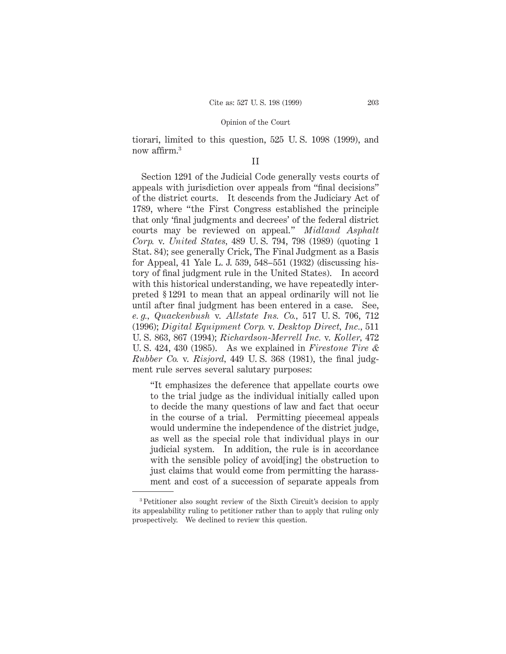tiorari, limited to this question, 525 U. S. 1098 (1999), and now affirm.3

# II

Section 1291 of the Judicial Code generally vests courts of appeals with jurisdiction over appeals from "final decisions" of the district courts. It descends from the Judiciary Act of 1789, where "the First Congress established the principle that only 'final judgments and decrees' of the federal district courts may be reviewed on appeal." *Midland Asphalt Corp.* v. *United States,* 489 U. S. 794, 798 (1989) (quoting 1 Stat. 84); see generally Crick, The Final Judgment as a Basis for Appeal, 41 Yale L. J. 539, 548–551 (1932) (discussing history of final judgment rule in the United States). In accord with this historical understanding, we have repeatedly interpreted § 1291 to mean that an appeal ordinarily will not lie until after final judgment has been entered in a case. See, *e. g., Quackenbush* v. *Allstate Ins. Co.,* 517 U. S. 706, 712 (1996); *Digital Equipment Corp.* v. *Desktop Direct, Inc.,* 511 U. S. 863, 867 (1994); *Richardson-Merrell Inc.* v. *Koller,* 472 U. S. 424, 430 (1985). As we explained in *Firestone Tire & Rubber Co.* v. *Risjord,* 449 U. S. 368 (1981), the final judgment rule serves several salutary purposes:

"It emphasizes the deference that appellate courts owe to the trial judge as the individual initially called upon to decide the many questions of law and fact that occur in the course of a trial. Permitting piecemeal appeals would undermine the independence of the district judge, as well as the special role that individual plays in our judicial system. In addition, the rule is in accordance with the sensible policy of avoid [ing] the obstruction to just claims that would come from permitting the harassment and cost of a succession of separate appeals from

<sup>3</sup> Petitioner also sought review of the Sixth Circuit's decision to apply its appealability ruling to petitioner rather than to apply that ruling only prospectively. We declined to review this question.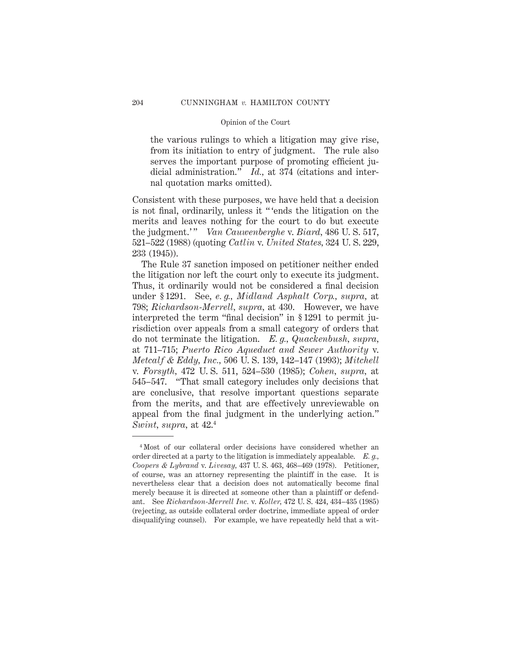the various rulings to which a litigation may give rise, from its initiation to entry of judgment. The rule also serves the important purpose of promoting efficient judicial administration." *Id.,* at 374 (citations and internal quotation marks omitted).

Consistent with these purposes, we have held that a decision is not final, ordinarily, unless it " 'ends the litigation on the merits and leaves nothing for the court to do but execute the judgment.'" Van Cauwenberghe v. Biard, 486 U.S. 517, 521–522 (1988) (quoting *Catlin* v. *United States,* 324 U. S. 229, 233 (1945)).

The Rule 37 sanction imposed on petitioner neither ended the litigation nor left the court only to execute its judgment. Thus, it ordinarily would not be considered a final decision under § 1291. See, *e. g., Midland Asphalt Corp., supra,* at 798; *Richardson-Merrell, supra,* at 430. However, we have interpreted the term "final decision" in § 1291 to permit jurisdiction over appeals from a small category of orders that do not terminate the litigation. *E. g., Quackenbush, supra,* at 711–715; *Puerto Rico Aqueduct and Sewer Authority* v. *Metcalf & Eddy, Inc.,* 506 U. S. 139, 142–147 (1993); *Mitchell* v. *Forsyth,* 472 U. S. 511, 524–530 (1985); *Cohen, supra,* at 545–547. "That small category includes only decisions that are conclusive, that resolve important questions separate from the merits, and that are effectively unreviewable on appeal from the final judgment in the underlying action." *Swint, supra,* at 42.4

<sup>4</sup> Most of our collateral order decisions have considered whether an order directed at a party to the litigation is immediately appealable. *E. g., Coopers & Lybrand* v. *Livesay,* 437 U. S. 463, 468–469 (1978). Petitioner, of course, was an attorney representing the plaintiff in the case. It is nevertheless clear that a decision does not automatically become final merely because it is directed at someone other than a plaintiff or defendant. See *Richardson-Merrell Inc.* v. *Koller,* 472 U. S. 424, 434–435 (1985) (rejecting, as outside collateral order doctrine, immediate appeal of order disqualifying counsel). For example, we have repeatedly held that a wit-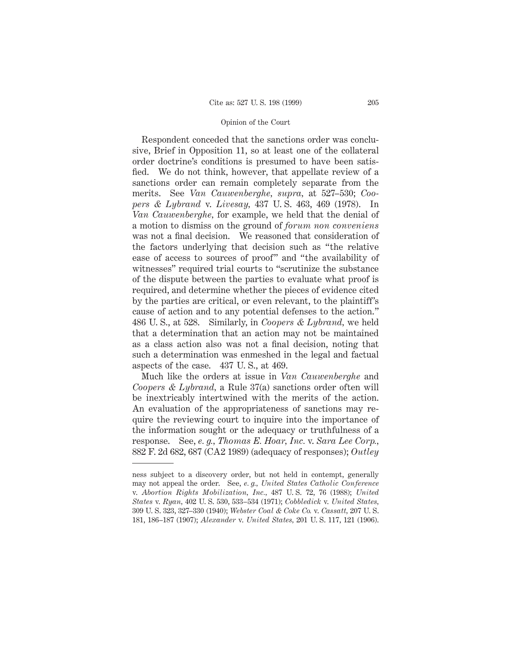Respondent conceded that the sanctions order was conclusive, Brief in Opposition 11, so at least one of the collateral order doctrine's conditions is presumed to have been satisfied. We do not think, however, that appellate review of a sanctions order can remain completely separate from the merits. See *Van Cauwenberghe, supra,* at 527–530; *Coopers & Lybrand* v. *Livesay,* 437 U. S. 463, 469 (1978). In *Van Cauwenberghe,* for example, we held that the denial of a motion to dismiss on the ground of *forum non conveniens* was not a final decision. We reasoned that consideration of the factors underlying that decision such as "the relative ease of access to sources of proof" and "the availability of witnesses" required trial courts to "scrutinize the substance of the dispute between the parties to evaluate what proof is required, and determine whether the pieces of evidence cited by the parties are critical, or even relevant, to the plaintiff's cause of action and to any potential defenses to the action." 486 U. S., at 528. Similarly, in *Coopers & Lybrand,* we held that a determination that an action may not be maintained as a class action also was not a final decision, noting that such a determination was enmeshed in the legal and factual aspects of the case. 437 U. S., at 469.

Much like the orders at issue in *Van Cauwenberghe* and *Coopers & Lybrand,* a Rule 37(a) sanctions order often will be inextricably intertwined with the merits of the action. An evaluation of the appropriateness of sanctions may require the reviewing court to inquire into the importance of the information sought or the adequacy or truthfulness of a response. See, *e. g., Thomas E. Hoar, Inc.* v. *Sara Lee Corp.,* 882 F. 2d 682, 687 (CA2 1989) (adequacy of responses); *Outley*

ness subject to a discovery order, but not held in contempt, generally may not appeal the order. See, *e. g., United States Catholic Conference* v. *Abortion Rights Mobilization, Inc.,* 487 U. S. 72, 76 (1988); *United States* v. *Ryan,* 402 U. S. 530, 533–534 (1971); *Cobbledick* v. *United States,* 309 U. S. 323, 327–330 (1940); *Webster Coal & Coke Co.* v. *Cassatt,* 207 U. S. 181, 186–187 (1907); *Alexander* v. *United States,* 201 U. S. 117, 121 (1906).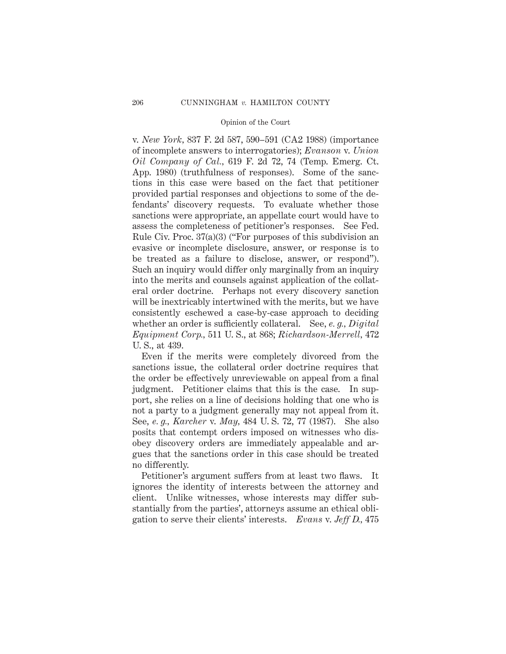v. *New York,* 837 F. 2d 587, 590–591 (CA2 1988) (importance of incomplete answers to interrogatories); *Evanson* v. *Union Oil Company of Cal.,* 619 F. 2d 72, 74 (Temp. Emerg. Ct. App. 1980) (truthfulness of responses). Some of the sanctions in this case were based on the fact that petitioner provided partial responses and objections to some of the defendants' discovery requests. To evaluate whether those sanctions were appropriate, an appellate court would have to assess the completeness of petitioner's responses. See Fed. Rule Civ. Proc. 37(a)(3) ("For purposes of this subdivision an evasive or incomplete disclosure, answer, or response is to be treated as a failure to disclose, answer, or respond"). Such an inquiry would differ only marginally from an inquiry into the merits and counsels against application of the collateral order doctrine. Perhaps not every discovery sanction will be inextricably intertwined with the merits, but we have consistently eschewed a case-by-case approach to deciding whether an order is sufficiently collateral. See, *e. g., Digital Equipment Corp.,* 511 U. S., at 868; *Richardson-Merrell,* 472 U. S., at 439.

Even if the merits were completely divorced from the sanctions issue, the collateral order doctrine requires that the order be effectively unreviewable on appeal from a final judgment. Petitioner claims that this is the case. In support, she relies on a line of decisions holding that one who is not a party to a judgment generally may not appeal from it. See, *e. g., Karcher* v. *May,* 484 U. S. 72, 77 (1987). She also posits that contempt orders imposed on witnesses who disobey discovery orders are immediately appealable and argues that the sanctions order in this case should be treated no differently.

Petitioner's argument suffers from at least two flaws. It ignores the identity of interests between the attorney and client. Unlike witnesses, whose interests may differ substantially from the parties', attorneys assume an ethical obligation to serve their clients' interests. *Evans* v. *Jeff D.,* 475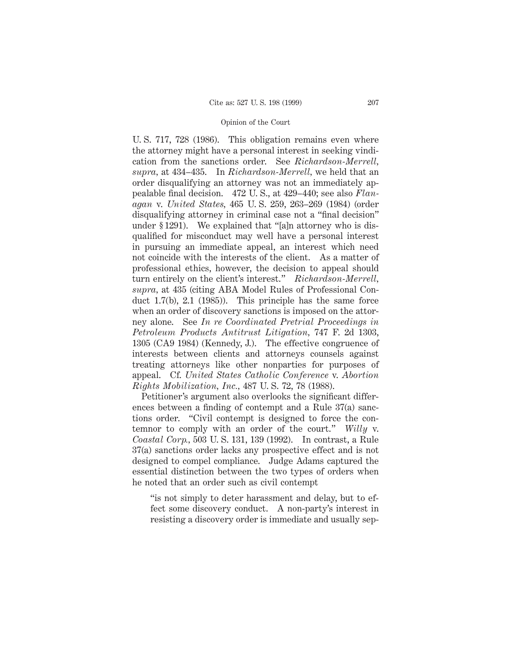U. S. 717, 728 (1986). This obligation remains even where the attorney might have a personal interest in seeking vindication from the sanctions order. See *Richardson-Merrell, supra,* at 434–435. In *Richardson-Merrell,* we held that an order disqualifying an attorney was not an immediately appealable final decision. 472 U. S., at 429–440; see also *Flanagan* v. *United States,* 465 U. S. 259, 263–269 (1984) (order disqualifying attorney in criminal case not a "final decision" under § 1291). We explained that "[a]n attorney who is disqualified for misconduct may well have a personal interest in pursuing an immediate appeal, an interest which need not coincide with the interests of the client. As a matter of professional ethics, however, the decision to appeal should turn entirely on the client's interest." *Richardson-Merrell, supra,* at 435 (citing ABA Model Rules of Professional Conduct 1.7(b), 2.1 (1985)). This principle has the same force when an order of discovery sanctions is imposed on the attorney alone. See *In re Coordinated Pretrial Proceedings in Petroleum Products Antitrust Litigation,* 747 F. 2d 1303, 1305 (CA9 1984) (Kennedy, J.). The effective congruence of interests between clients and attorneys counsels against treating attorneys like other nonparties for purposes of appeal. Cf. *United States Catholic Conference* v. *Abortion Rights Mobilization, Inc.,* 487 U. S. 72, 78 (1988).

Petitioner's argument also overlooks the significant differences between a finding of contempt and a Rule 37(a) sanctions order. "Civil contempt is designed to force the contemnor to comply with an order of the court." *Willy* v. *Coastal Corp.,* 503 U. S. 131, 139 (1992). In contrast, a Rule 37(a) sanctions order lacks any prospective effect and is not designed to compel compliance. Judge Adams captured the essential distinction between the two types of orders when he noted that an order such as civil contempt

"is not simply to deter harassment and delay, but to effect some discovery conduct. A non-party's interest in resisting a discovery order is immediate and usually sep-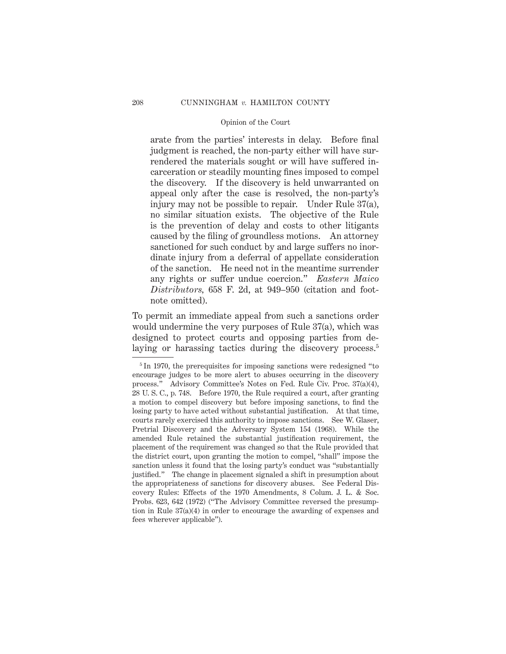arate from the parties' interests in delay. Before final judgment is reached, the non-party either will have surrendered the materials sought or will have suffered incarceration or steadily mounting fines imposed to compel the discovery. If the discovery is held unwarranted on appeal only after the case is resolved, the non-party's injury may not be possible to repair. Under Rule 37(a), no similar situation exists. The objective of the Rule is the prevention of delay and costs to other litigants caused by the filing of groundless motions. An attorney sanctioned for such conduct by and large suffers no inordinate injury from a deferral of appellate consideration of the sanction. He need not in the meantime surrender any rights or suffer undue coercion." *Eastern Maico Distributors,* 658 F. 2d, at 949–950 (citation and footnote omitted).

To permit an immediate appeal from such a sanctions order would undermine the very purposes of Rule 37(a), which was designed to protect courts and opposing parties from delaying or harassing tactics during the discovery process.<sup>5</sup>

<sup>&</sup>lt;sup>5</sup> In 1970, the prerequisites for imposing sanctions were redesigned "to encourage judges to be more alert to abuses occurring in the discovery process." Advisory Committee's Notes on Fed. Rule Civ. Proc. 37(a)(4), 28 U. S. C., p. 748. Before 1970, the Rule required a court, after granting a motion to compel discovery but before imposing sanctions, to find the losing party to have acted without substantial justification. At that time, courts rarely exercised this authority to impose sanctions. See W. Glaser, Pretrial Discovery and the Adversary System 154 (1968). While the amended Rule retained the substantial justification requirement, the placement of the requirement was changed so that the Rule provided that the district court, upon granting the motion to compel, "shall" impose the sanction unless it found that the losing party's conduct was "substantially justified." The change in placement signaled a shift in presumption about the appropriateness of sanctions for discovery abuses. See Federal Discovery Rules: Effects of the 1970 Amendments, 8 Colum. J. L. & Soc. Probs. 623, 642 (1972) ("The Advisory Committee reversed the presumption in Rule 37(a)(4) in order to encourage the awarding of expenses and fees wherever applicable").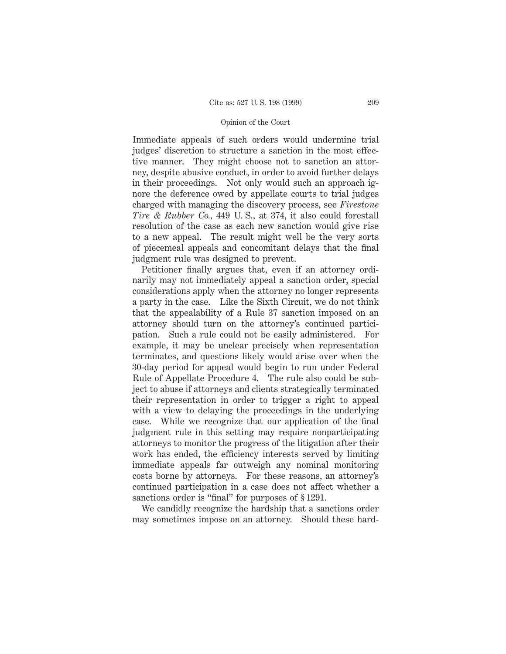Immediate appeals of such orders would undermine trial judges' discretion to structure a sanction in the most effective manner. They might choose not to sanction an attorney, despite abusive conduct, in order to avoid further delays in their proceedings. Not only would such an approach ignore the deference owed by appellate courts to trial judges charged with managing the discovery process, see *Firestone Tire & Rubber Co.,* 449 U. S., at 374, it also could forestall resolution of the case as each new sanction would give rise to a new appeal. The result might well be the very sorts of piecemeal appeals and concomitant delays that the final judgment rule was designed to prevent.

Petitioner finally argues that, even if an attorney ordinarily may not immediately appeal a sanction order, special considerations apply when the attorney no longer represents a party in the case. Like the Sixth Circuit, we do not think that the appealability of a Rule 37 sanction imposed on an attorney should turn on the attorney's continued participation. Such a rule could not be easily administered. For example, it may be unclear precisely when representation terminates, and questions likely would arise over when the 30-day period for appeal would begin to run under Federal Rule of Appellate Procedure 4. The rule also could be subject to abuse if attorneys and clients strategically terminated their representation in order to trigger a right to appeal with a view to delaying the proceedings in the underlying case. While we recognize that our application of the final judgment rule in this setting may require nonparticipating attorneys to monitor the progress of the litigation after their work has ended, the efficiency interests served by limiting immediate appeals far outweigh any nominal monitoring costs borne by attorneys. For these reasons, an attorney's continued participation in a case does not affect whether a sanctions order is "final" for purposes of § 1291.

We candidly recognize the hardship that a sanctions order may sometimes impose on an attorney. Should these hard-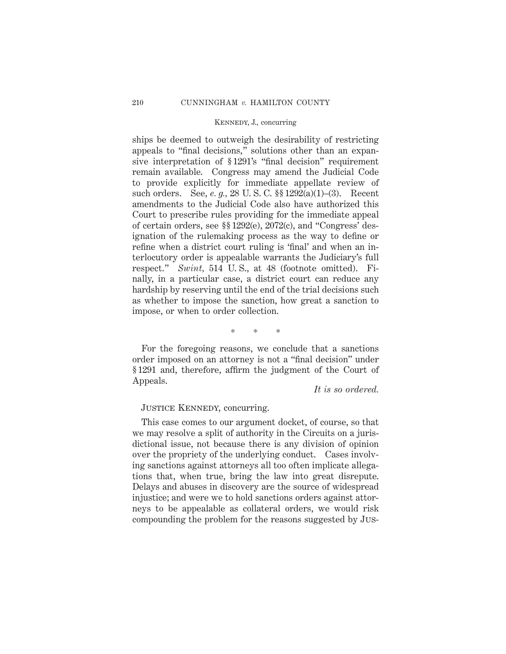# Kennedy, J., concurring

ships be deemed to outweigh the desirability of restricting appeals to "final decisions," solutions other than an expansive interpretation of § 1291's "final decision" requirement remain available. Congress may amend the Judicial Code to provide explicitly for immediate appellate review of such orders. See, *e. g.,* 28 U. S. C. §§ 1292(a)(1)–(3). Recent amendments to the Judicial Code also have authorized this Court to prescribe rules providing for the immediate appeal of certain orders, see §§ 1292(e), 2072(c), and "Congress' designation of the rulemaking process as the way to define or refine when a district court ruling is 'final' and when an interlocutory order is appealable warrants the Judiciary's full respect." *Swint,* 514 U. S., at 48 (footnote omitted). Finally, in a particular case, a district court can reduce any hardship by reserving until the end of the trial decisions such as whether to impose the sanction, how great a sanction to impose, or when to order collection.

\*\*\*

For the foregoing reasons, we conclude that a sanctions order imposed on an attorney is not a "final decision" under § 1291 and, therefore, affirm the judgment of the Court of Appeals.

*It is so ordered.*

# JUSTICE KENNEDY, concurring.

This case comes to our argument docket, of course, so that we may resolve a split of authority in the Circuits on a jurisdictional issue, not because there is any division of opinion over the propriety of the underlying conduct. Cases involving sanctions against attorneys all too often implicate allegations that, when true, bring the law into great disrepute. Delays and abuses in discovery are the source of widespread injustice; and were we to hold sanctions orders against attorneys to be appealable as collateral orders, we would risk compounding the problem for the reasons suggested by Jus-